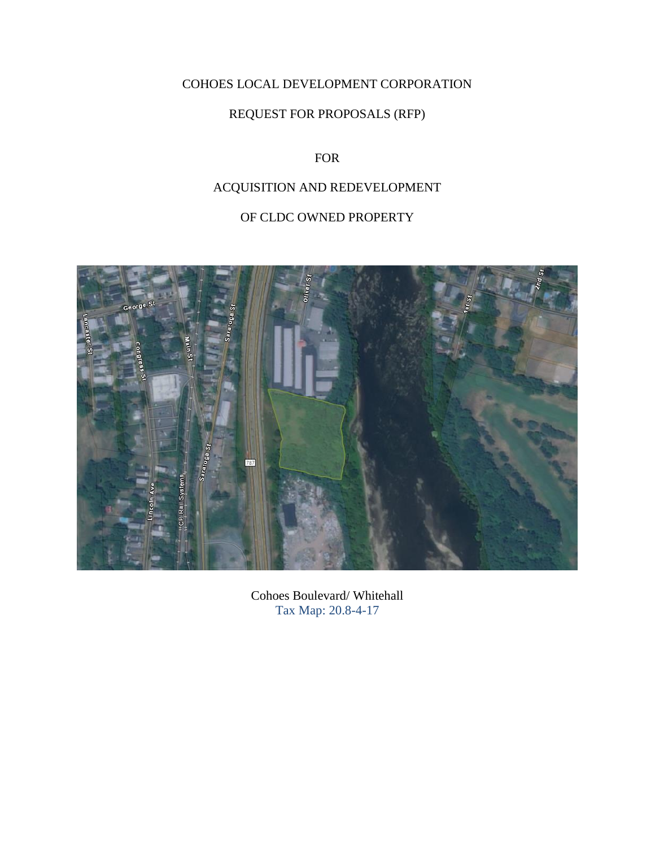## COHOES LOCAL DEVELOPMENT CORPORATION

## REQUEST FOR PROPOSALS (RFP)

## FOR

# ACQUISITION AND REDEVELOPMENT

## OF CLDC OWNED PROPERTY



Cohoes Boulevard/ Whitehall Tax Map: 20.8-4-17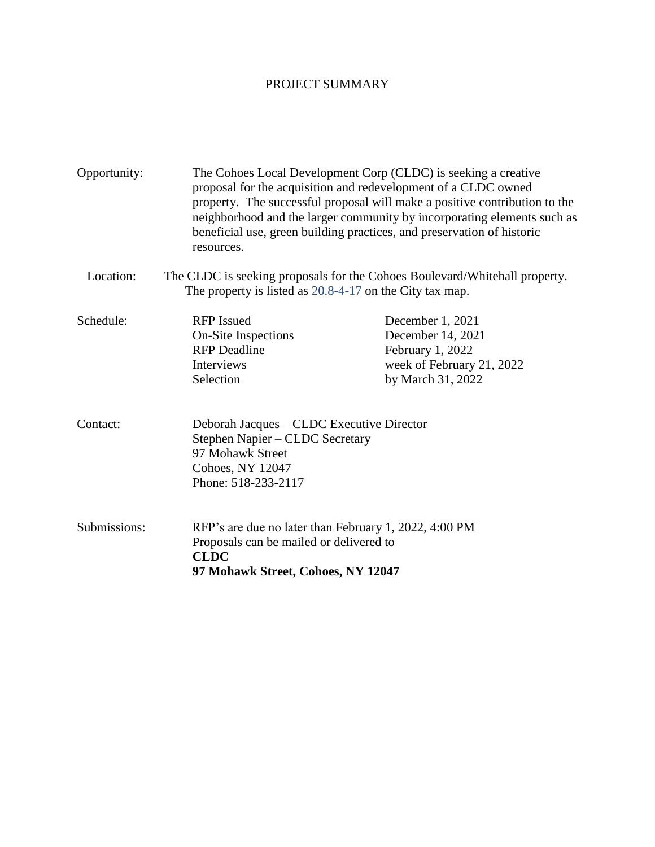### PROJECT SUMMARY

| Opportunity: | The Cohoes Local Development Corp (CLDC) is seeking a creative<br>proposal for the acquisition and redevelopment of a CLDC owned<br>property. The successful proposal will make a positive contribution to the<br>neighborhood and the larger community by incorporating elements such as<br>beneficial use, green building practices, and preservation of historic<br>resources. |                                                                                                             |
|--------------|-----------------------------------------------------------------------------------------------------------------------------------------------------------------------------------------------------------------------------------------------------------------------------------------------------------------------------------------------------------------------------------|-------------------------------------------------------------------------------------------------------------|
| Location:    | The CLDC is seeking proposals for the Cohoes Boulevard/Whitehall property.<br>The property is listed as $20.8 - 4 - 17$ on the City tax map.                                                                                                                                                                                                                                      |                                                                                                             |
| Schedule:    | <b>RFP</b> Issued<br>On-Site Inspections<br><b>RFP</b> Deadline<br><b>Interviews</b><br>Selection                                                                                                                                                                                                                                                                                 | December 1, 2021<br>December 14, 2021<br>February 1, 2022<br>week of February 21, 2022<br>by March 31, 2022 |
| Contact:     | Deborah Jacques - CLDC Executive Director<br>Stephen Napier – CLDC Secretary<br>97 Mohawk Street<br>Cohoes, NY 12047<br>Phone: 518-233-2117                                                                                                                                                                                                                                       |                                                                                                             |
| Submissions: | RFP's are due no later than February 1, 2022, 4:00 PM<br>Proposals can be mailed or delivered to<br><b>CLDC</b><br>97 Mohawk Street, Cohoes, NY 12047                                                                                                                                                                                                                             |                                                                                                             |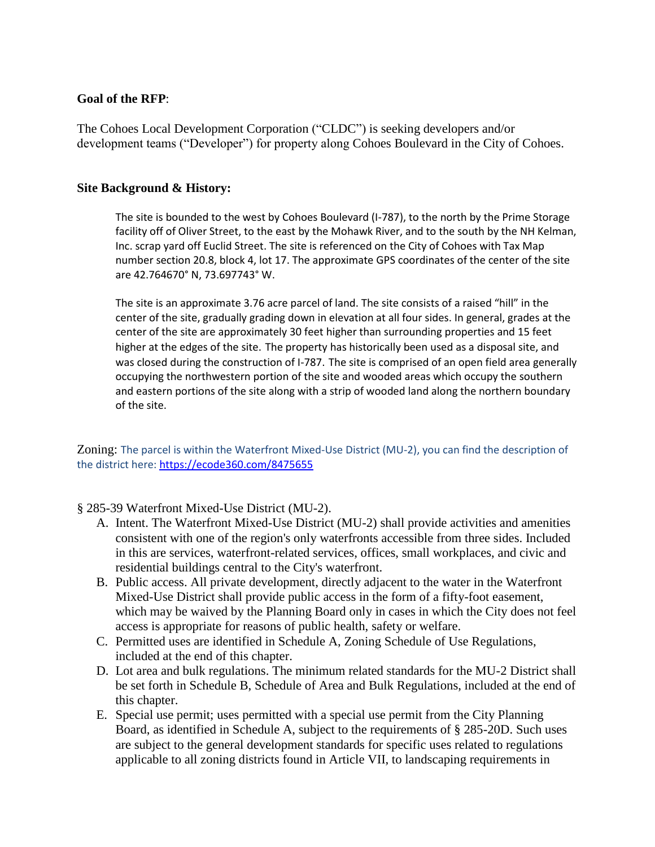### **Goal of the RFP**:

The Cohoes Local Development Corporation ("CLDC") is seeking developers and/or development teams ("Developer") for property along Cohoes Boulevard in the City of Cohoes.

### **Site Background & History:**

The site is bounded to the west by Cohoes Boulevard (I-787), to the north by the Prime Storage facility off of Oliver Street, to the east by the Mohawk River, and to the south by the NH Kelman, Inc. scrap yard off Euclid Street. The site is referenced on the City of Cohoes with Tax Map number section 20.8, block 4, lot 17. The approximate GPS coordinates of the center of the site are 42.764670° N, 73.697743° W.

The site is an approximate 3.76 acre parcel of land. The site consists of a raised "hill" in the center of the site, gradually grading down in elevation at all four sides. In general, grades at the center of the site are approximately 30 feet higher than surrounding properties and 15 feet higher at the edges of the site. The property has historically been used as a disposal site, and was closed during the construction of I-787. The site is comprised of an open field area generally occupying the northwestern portion of the site and wooded areas which occupy the southern and eastern portions of the site along with a strip of wooded land along the northern boundary of the site.

Zoning: The parcel is within the Waterfront Mixed-Use District (MU-2), you can find the description of the district here: <https://ecode360.com/8475655>

### § 285-39 Waterfront Mixed-Use District (MU-2).

- A. Intent. The Waterfront Mixed-Use District (MU-2) shall provide activities and amenities consistent with one of the region's only waterfronts accessible from three sides. Included in this are services, waterfront-related services, offices, small workplaces, and civic and residential buildings central to the City's waterfront.
- B. Public access. All private development, directly adjacent to the water in the Waterfront Mixed-Use District shall provide public access in the form of a fifty-foot easement, which may be waived by the Planning Board only in cases in which the City does not feel access is appropriate for reasons of public health, safety or welfare.
- C. Permitted uses are identified in Schedule A, Zoning Schedule of Use Regulations, included at the end of this chapter.
- D. Lot area and bulk regulations. The minimum related standards for the MU-2 District shall be set forth in Schedule B, Schedule of Area and Bulk Regulations, included at the end of this chapter.
- E. Special use permit; uses permitted with a special use permit from the City Planning Board, as identified in Schedule A, subject to the requirements of § 285-20D. Such uses are subject to the general development standards for specific uses related to regulations applicable to all zoning districts found in Article VII, to landscaping requirements in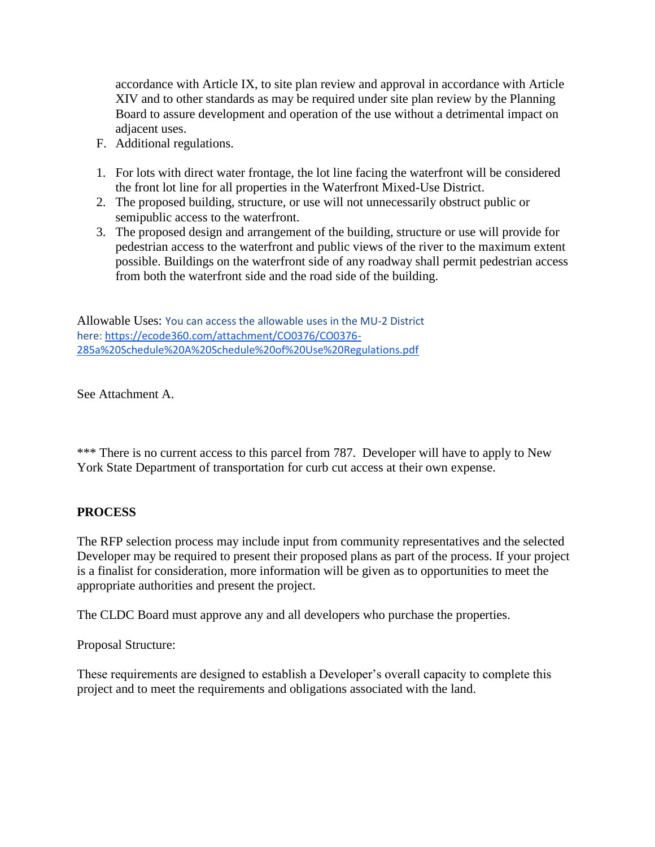accordance with Article IX, to site plan review and approval in accordance with Article XIV and to other standards as may be required under site plan review by the Planning Board to assure development and operation of the use without a detrimental impact on adjacent uses.

- F. Additional regulations.
- 1. For lots with direct water frontage, the lot line facing the waterfront will be considered the front lot line for all properties in the Waterfront Mixed-Use District.
- 2. The proposed building, structure, or use will not unnecessarily obstruct public or semipublic access to the waterfront.
- 3. The proposed design and arrangement of the building, structure or use will provide for pedestrian access to the waterfront and public views of the river to the maximum extent possible. Buildings on the waterfront side of any roadway shall permit pedestrian access from both the waterfront side and the road side of the building.

Allowable Uses: You can access the allowable uses in the MU-2 District here: [https://ecode360.com/attachment/CO0376/CO0376-](https://ecode360.com/attachment/CO0376/CO0376-285a%20Schedule%20A%20Schedule%20of%20Use%20Regulations.pdf) [285a%20Schedule%20A%20Schedule%20of%20Use%20Regulations.pdf](https://ecode360.com/attachment/CO0376/CO0376-285a%20Schedule%20A%20Schedule%20of%20Use%20Regulations.pdf)

See Attachment A.

\*\*\* There is no current access to this parcel from 787. Developer will have to apply to New York State Department of transportation for curb cut access at their own expense.

### **PROCESS**

The RFP selection process may include input from community representatives and the selected Developer may be required to present their proposed plans as part of the process. If your project is a finalist for consideration, more information will be given as to opportunities to meet the appropriate authorities and present the project.

The CLDC Board must approve any and all developers who purchase the properties.

Proposal Structure:

These requirements are designed to establish a Developer's overall capacity to complete this project and to meet the requirements and obligations associated with the land.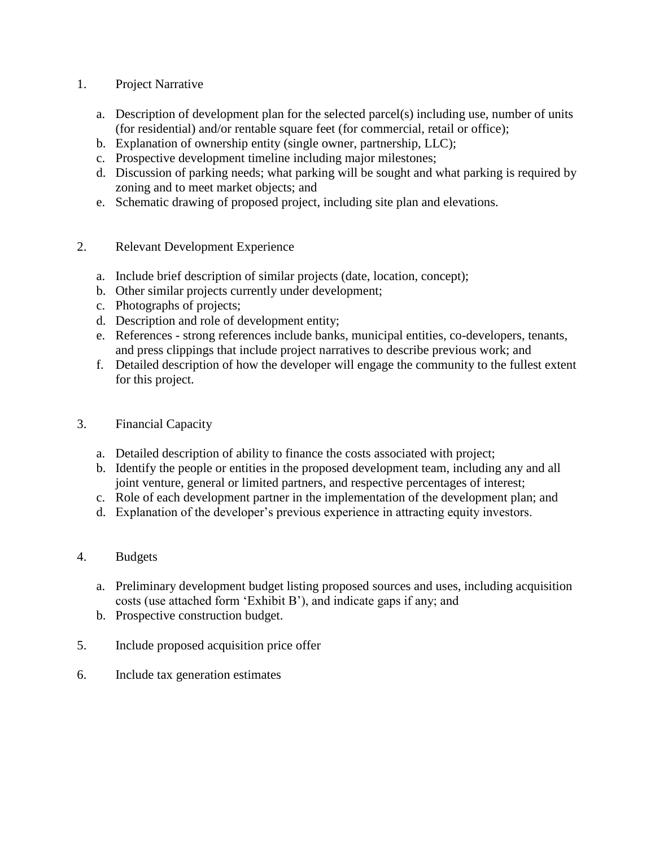### 1. Project Narrative

- a. Description of development plan for the selected parcel(s) including use, number of units (for residential) and/or rentable square feet (for commercial, retail or office);
- b. Explanation of ownership entity (single owner, partnership, LLC);
- c. Prospective development timeline including major milestones;
- d. Discussion of parking needs; what parking will be sought and what parking is required by zoning and to meet market objects; and
- e. Schematic drawing of proposed project, including site plan and elevations.
- 2. Relevant Development Experience
	- a. Include brief description of similar projects (date, location, concept);
	- b. Other similar projects currently under development;
	- c. Photographs of projects;
	- d. Description and role of development entity;
	- e. References strong references include banks, municipal entities, co-developers, tenants, and press clippings that include project narratives to describe previous work; and
	- f. Detailed description of how the developer will engage the community to the fullest extent for this project.
- 3. Financial Capacity
	- a. Detailed description of ability to finance the costs associated with project;
	- b. Identify the people or entities in the proposed development team, including any and all joint venture, general or limited partners, and respective percentages of interest;
	- c. Role of each development partner in the implementation of the development plan; and
	- d. Explanation of the developer's previous experience in attracting equity investors.

### 4. Budgets

- a. Preliminary development budget listing proposed sources and uses, including acquisition costs (use attached form 'Exhibit B'), and indicate gaps if any; and
- b. Prospective construction budget.
- 5. Include proposed acquisition price offer
- 6. Include tax generation estimates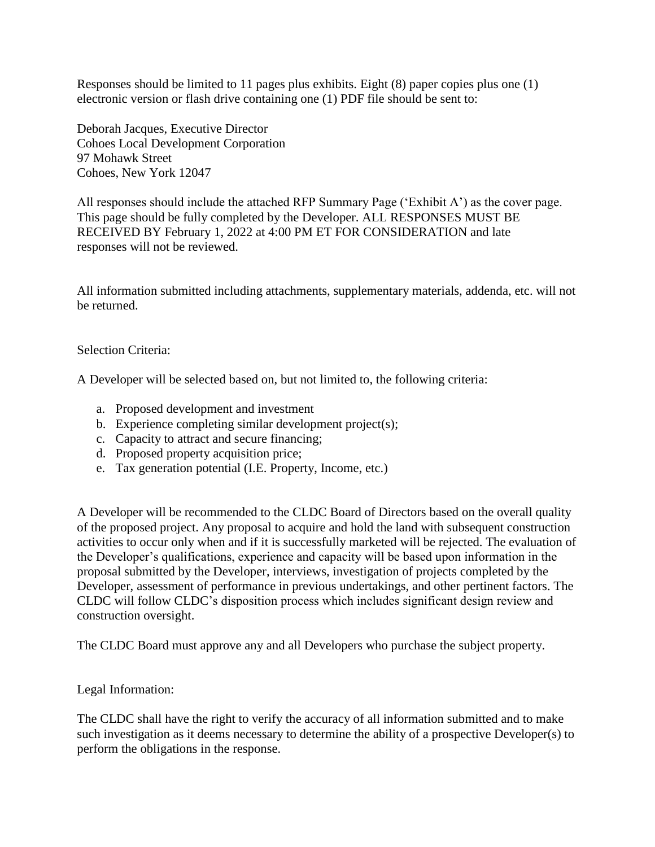Responses should be limited to 11 pages plus exhibits. Eight (8) paper copies plus one (1) electronic version or flash drive containing one (1) PDF file should be sent to:

Deborah Jacques, Executive Director Cohoes Local Development Corporation 97 Mohawk Street Cohoes, New York 12047

All responses should include the attached RFP Summary Page ('Exhibit A') as the cover page. This page should be fully completed by the Developer. ALL RESPONSES MUST BE RECEIVED BY February 1, 2022 at 4:00 PM ET FOR CONSIDERATION and late responses will not be reviewed.

All information submitted including attachments, supplementary materials, addenda, etc. will not be returned.

### Selection Criteria:

A Developer will be selected based on, but not limited to, the following criteria:

- a. Proposed development and investment
- b. Experience completing similar development project(s);
- c. Capacity to attract and secure financing;
- d. Proposed property acquisition price;
- e. Tax generation potential (I.E. Property, Income, etc.)

A Developer will be recommended to the CLDC Board of Directors based on the overall quality of the proposed project. Any proposal to acquire and hold the land with subsequent construction activities to occur only when and if it is successfully marketed will be rejected. The evaluation of the Developer's qualifications, experience and capacity will be based upon information in the proposal submitted by the Developer, interviews, investigation of projects completed by the Developer, assessment of performance in previous undertakings, and other pertinent factors. The CLDC will follow CLDC's disposition process which includes significant design review and construction oversight.

The CLDC Board must approve any and all Developers who purchase the subject property.

### Legal Information:

The CLDC shall have the right to verify the accuracy of all information submitted and to make such investigation as it deems necessary to determine the ability of a prospective Developer(s) to perform the obligations in the response.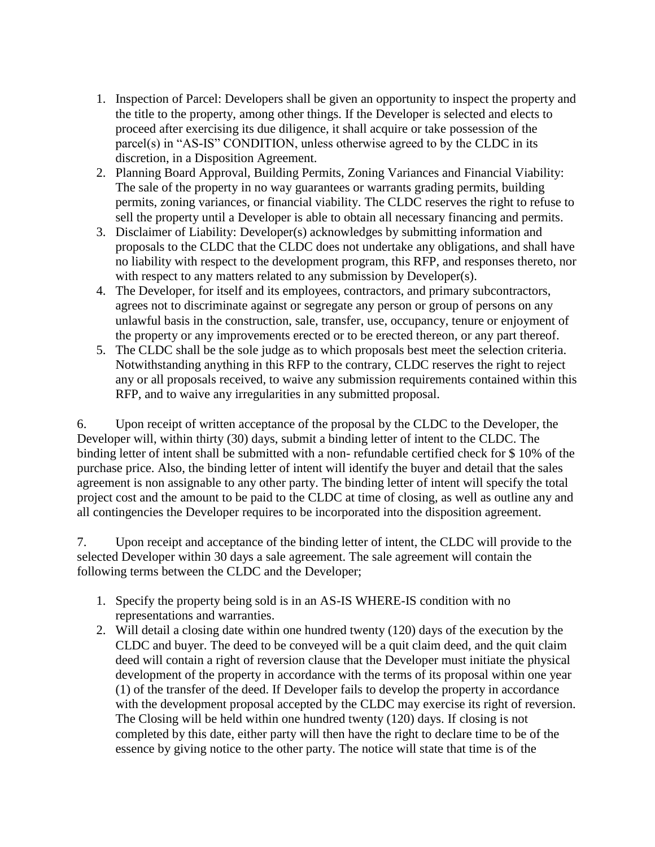- 1. Inspection of Parcel: Developers shall be given an opportunity to inspect the property and the title to the property, among other things. If the Developer is selected and elects to proceed after exercising its due diligence, it shall acquire or take possession of the parcel(s) in "AS-IS" CONDITION, unless otherwise agreed to by the CLDC in its discretion, in a Disposition Agreement.
- 2. Planning Board Approval, Building Permits, Zoning Variances and Financial Viability: The sale of the property in no way guarantees or warrants grading permits, building permits, zoning variances, or financial viability. The CLDC reserves the right to refuse to sell the property until a Developer is able to obtain all necessary financing and permits.
- 3. Disclaimer of Liability: Developer(s) acknowledges by submitting information and proposals to the CLDC that the CLDC does not undertake any obligations, and shall have no liability with respect to the development program, this RFP, and responses thereto, nor with respect to any matters related to any submission by Developer(s).
- 4. The Developer, for itself and its employees, contractors, and primary subcontractors, agrees not to discriminate against or segregate any person or group of persons on any unlawful basis in the construction, sale, transfer, use, occupancy, tenure or enjoyment of the property or any improvements erected or to be erected thereon, or any part thereof.
- 5. The CLDC shall be the sole judge as to which proposals best meet the selection criteria. Notwithstanding anything in this RFP to the contrary, CLDC reserves the right to reject any or all proposals received, to waive any submission requirements contained within this RFP, and to waive any irregularities in any submitted proposal.

6. Upon receipt of written acceptance of the proposal by the CLDC to the Developer, the Developer will, within thirty (30) days, submit a binding letter of intent to the CLDC. The binding letter of intent shall be submitted with a non- refundable certified check for \$ 10% of the purchase price. Also, the binding letter of intent will identify the buyer and detail that the sales agreement is non assignable to any other party. The binding letter of intent will specify the total project cost and the amount to be paid to the CLDC at time of closing, as well as outline any and all contingencies the Developer requires to be incorporated into the disposition agreement.

7. Upon receipt and acceptance of the binding letter of intent, the CLDC will provide to the selected Developer within 30 days a sale agreement. The sale agreement will contain the following terms between the CLDC and the Developer;

- 1. Specify the property being sold is in an AS-IS WHERE-IS condition with no representations and warranties.
- 2. Will detail a closing date within one hundred twenty (120) days of the execution by the CLDC and buyer. The deed to be conveyed will be a quit claim deed, and the quit claim deed will contain a right of reversion clause that the Developer must initiate the physical development of the property in accordance with the terms of its proposal within one year (1) of the transfer of the deed. If Developer fails to develop the property in accordance with the development proposal accepted by the CLDC may exercise its right of reversion. The Closing will be held within one hundred twenty (120) days. If closing is not completed by this date, either party will then have the right to declare time to be of the essence by giving notice to the other party. The notice will state that time is of the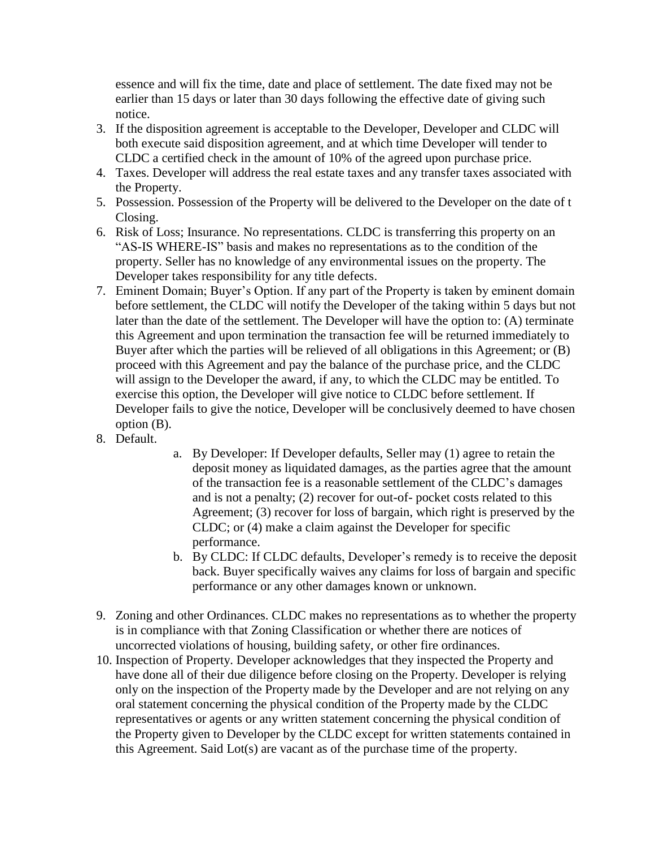essence and will fix the time, date and place of settlement. The date fixed may not be earlier than 15 days or later than 30 days following the effective date of giving such notice.

- 3. If the disposition agreement is acceptable to the Developer, Developer and CLDC will both execute said disposition agreement, and at which time Developer will tender to CLDC a certified check in the amount of 10% of the agreed upon purchase price.
- 4. Taxes. Developer will address the real estate taxes and any transfer taxes associated with the Property.
- 5. Possession. Possession of the Property will be delivered to the Developer on the date of t Closing.
- 6. Risk of Loss; Insurance. No representations. CLDC is transferring this property on an "AS-IS WHERE-IS" basis and makes no representations as to the condition of the property. Seller has no knowledge of any environmental issues on the property. The Developer takes responsibility for any title defects.
- 7. Eminent Domain; Buyer's Option. If any part of the Property is taken by eminent domain before settlement, the CLDC will notify the Developer of the taking within 5 days but not later than the date of the settlement. The Developer will have the option to: (A) terminate this Agreement and upon termination the transaction fee will be returned immediately to Buyer after which the parties will be relieved of all obligations in this Agreement; or (B) proceed with this Agreement and pay the balance of the purchase price, and the CLDC will assign to the Developer the award, if any, to which the CLDC may be entitled. To exercise this option, the Developer will give notice to CLDC before settlement. If Developer fails to give the notice, Developer will be conclusively deemed to have chosen option (B).
- 8. Default.
- a. By Developer: If Developer defaults, Seller may (1) agree to retain the deposit money as liquidated damages, as the parties agree that the amount of the transaction fee is a reasonable settlement of the CLDC's damages and is not a penalty; (2) recover for out-of- pocket costs related to this Agreement; (3) recover for loss of bargain, which right is preserved by the CLDC; or (4) make a claim against the Developer for specific performance.
- b. By CLDC: If CLDC defaults, Developer's remedy is to receive the deposit back. Buyer specifically waives any claims for loss of bargain and specific performance or any other damages known or unknown.
- 9. Zoning and other Ordinances. CLDC makes no representations as to whether the property is in compliance with that Zoning Classification or whether there are notices of uncorrected violations of housing, building safety, or other fire ordinances.
- 10. Inspection of Property. Developer acknowledges that they inspected the Property and have done all of their due diligence before closing on the Property. Developer is relying only on the inspection of the Property made by the Developer and are not relying on any oral statement concerning the physical condition of the Property made by the CLDC representatives or agents or any written statement concerning the physical condition of the Property given to Developer by the CLDC except for written statements contained in this Agreement. Said Lot(s) are vacant as of the purchase time of the property.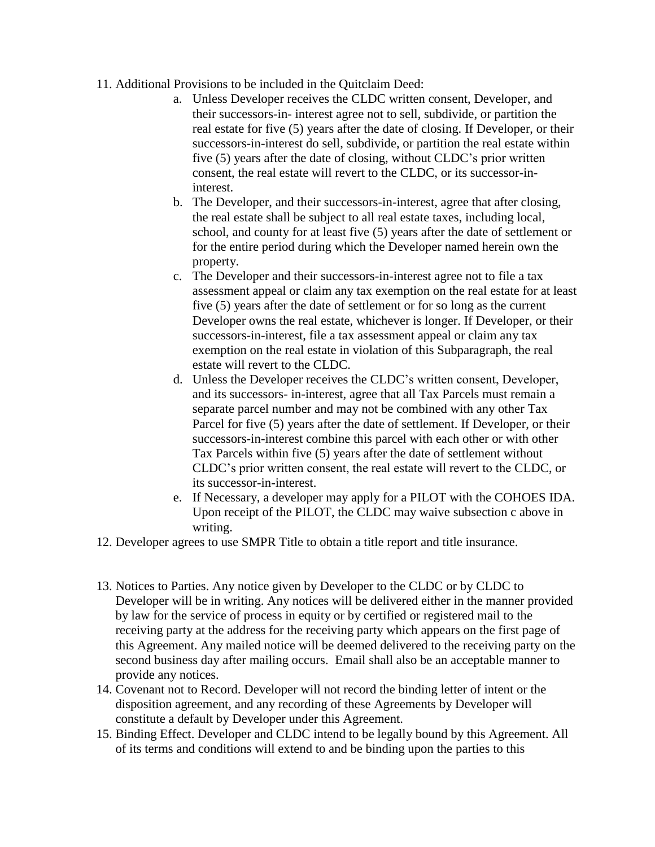- 11. Additional Provisions to be included in the Quitclaim Deed:
	- a. Unless Developer receives the CLDC written consent, Developer, and their successors-in- interest agree not to sell, subdivide, or partition the real estate for five (5) years after the date of closing. If Developer, or their successors-in-interest do sell, subdivide, or partition the real estate within five (5) years after the date of closing, without CLDC's prior written consent, the real estate will revert to the CLDC, or its successor-ininterest.
	- b. The Developer, and their successors-in-interest, agree that after closing, the real estate shall be subject to all real estate taxes, including local, school, and county for at least five (5) years after the date of settlement or for the entire period during which the Developer named herein own the property.
	- c. The Developer and their successors-in-interest agree not to file a tax assessment appeal or claim any tax exemption on the real estate for at least five (5) years after the date of settlement or for so long as the current Developer owns the real estate, whichever is longer. If Developer, or their successors-in-interest, file a tax assessment appeal or claim any tax exemption on the real estate in violation of this Subparagraph, the real estate will revert to the CLDC.
	- d. Unless the Developer receives the CLDC's written consent, Developer, and its successors- in-interest, agree that all Tax Parcels must remain a separate parcel number and may not be combined with any other Tax Parcel for five (5) years after the date of settlement. If Developer, or their successors-in-interest combine this parcel with each other or with other Tax Parcels within five (5) years after the date of settlement without CLDC's prior written consent, the real estate will revert to the CLDC, or its successor-in-interest.
	- e. If Necessary, a developer may apply for a PILOT with the COHOES IDA. Upon receipt of the PILOT, the CLDC may waive subsection c above in writing.
- 12. Developer agrees to use SMPR Title to obtain a title report and title insurance.
- 13. Notices to Parties. Any notice given by Developer to the CLDC or by CLDC to Developer will be in writing. Any notices will be delivered either in the manner provided by law for the service of process in equity or by certified or registered mail to the receiving party at the address for the receiving party which appears on the first page of this Agreement. Any mailed notice will be deemed delivered to the receiving party on the second business day after mailing occurs. Email shall also be an acceptable manner to provide any notices.
- 14. Covenant not to Record. Developer will not record the binding letter of intent or the disposition agreement, and any recording of these Agreements by Developer will constitute a default by Developer under this Agreement.
- 15. Binding Effect. Developer and CLDC intend to be legally bound by this Agreement. All of its terms and conditions will extend to and be binding upon the parties to this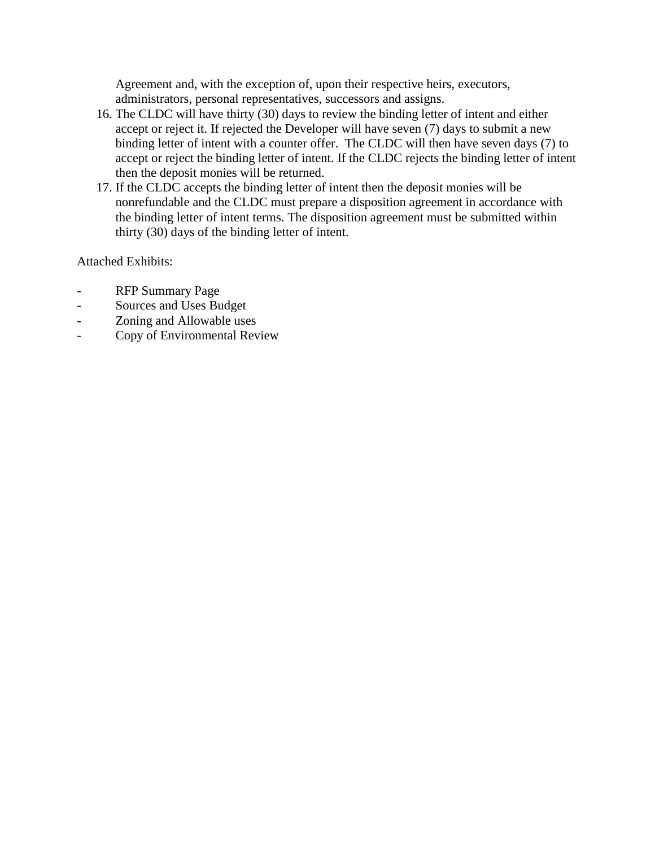Agreement and, with the exception of, upon their respective heirs, executors, administrators, personal representatives, successors and assigns.

- 16. The CLDC will have thirty (30) days to review the binding letter of intent and either accept or reject it. If rejected the Developer will have seven (7) days to submit a new binding letter of intent with a counter offer. The CLDC will then have seven days (7) to accept or reject the binding letter of intent. If the CLDC rejects the binding letter of intent then the deposit monies will be returned.
- 17. If the CLDC accepts the binding letter of intent then the deposit monies will be nonrefundable and the CLDC must prepare a disposition agreement in accordance with the binding letter of intent terms. The disposition agreement must be submitted within thirty (30) days of the binding letter of intent.

Attached Exhibits:

- RFP Summary Page
- Sources and Uses Budget
- Zoning and Allowable uses
- Copy of Environmental Review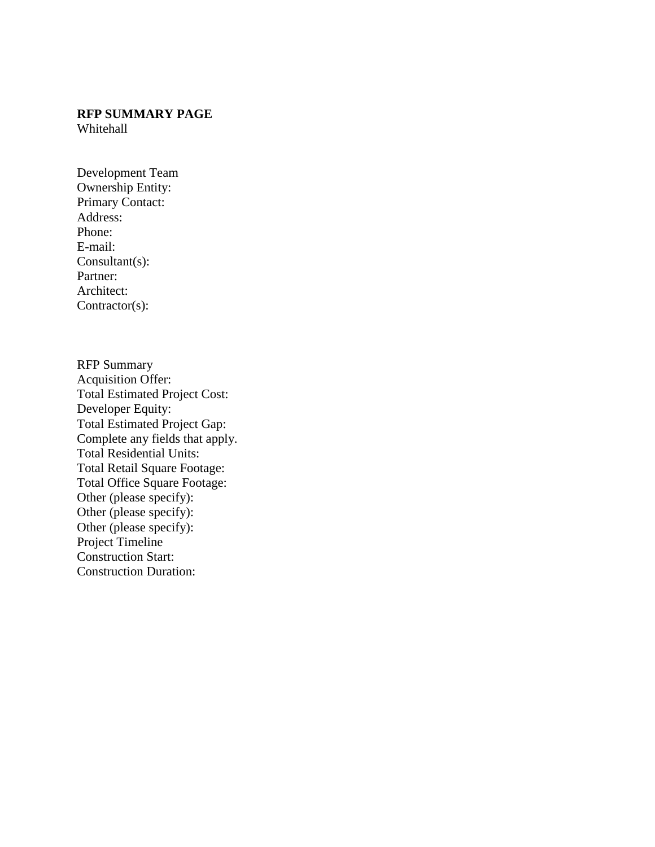#### **RFP SUMMARY PAGE** Whitehall

Development Team Ownership Entity: Primary Contact: Address: Phone: E-mail: Consultant(s): Partner: Architect: Contractor(s):

RFP Summary Acquisition Offer: Total Estimated Project Cost: Developer Equity: Total Estimated Project Gap: Complete any fields that apply. Total Residential Units: Total Retail Square Footage: Total Office Square Footage: Other (please specify): Other (please specify): Other (please specify): Project Timeline Construction Start: Construction Duration: